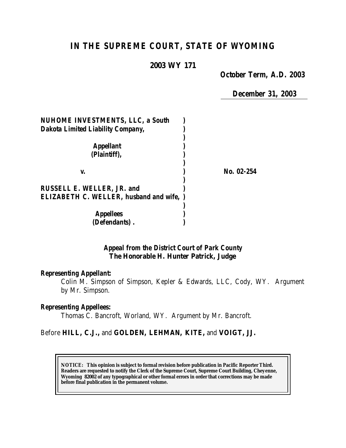# *IN THE SUPREME COURT, STATE OF WYOMING*

### **2003 WY 171**

*October Term, A.D. 2003*

*December 31, 2003*

| <b>NUHOME INVESTMENTS, LLC, a South</b>         |            |
|-------------------------------------------------|------------|
| <b>Dakota Limited Liability Company,</b>        |            |
| <b>Appellant</b><br>(Plaintiff),                |            |
| V.                                              | No. 02-254 |
| <b>RUSSELL E. WELLER, JR. and</b>               |            |
| <b>ELIZABETH C. WELLER, husband and wife, )</b> |            |
| <b>Appellees</b>                                |            |
| (Defendants).                                   |            |

# *Appeal from the District Court of Park County* **The Honorable H. Hunter Patrick, Judge**

#### *Representing Appellant:*

Colin M. Simpson of Simpson, Kepler & Edwards, LLC, Cody, WY. Argument by Mr. Simpson.

### *Representing Appellees:*

Thomas C. Bancroft, Worland, WY. Argument by Mr. Bancroft.

# Before **HILL, C.J.,** and **GOLDEN, LEHMAN, KITE,** and **VOIGT, JJ.**

**NOTICE:** *This opinion is subject to formal revision before publication in Pacific Reporter Third. Readers are requested to notify the Clerk of the Supreme Court, Supreme Court Building, Cheyenne, Wyoming 82002 of any typographical or other formal errors in order that corrections may be made before final publication in the permanent volume.*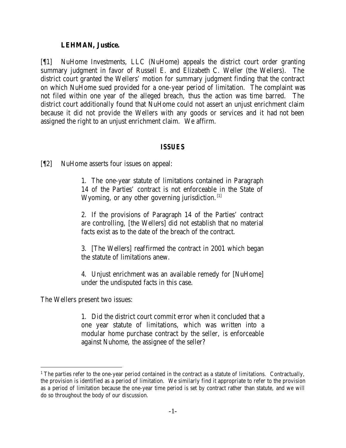#### **LEHMAN, Justice.**

[¶1] NuHome Investments, LLC (NuHome) appeals the district court order granting summary judgment in favor of Russell E. and Elizabeth C. Weller (the Wellers). The district court granted the Wellers' motion for summary judgment finding that the contract on which NuHome sued provided for a one-year period of limitation. The complaint was not filed within one year of the alleged breach, thus the action was time barred. The district court additionally found that NuHome could not assert an unjust enrichment claim because it did not provide the Wellers with any goods or services and it had not been assigned the right to an unjust enrichment claim. We affirm.

#### *ISSUES*

[¶2] NuHome asserts four issues on appeal:

1. The one-year statute of limitations contained in Paragraph 14 of the Parties' contract is not enforceable in the State of Wyoming, or any other governing jurisdiction.  $[1]$ 

2. If the provisions of Paragraph 14 of the Parties' contract are controlling, [the Wellers] did not establish that no material facts exist as to the date of the breach of the contract.

3. [The Wellers] reaffirmed the contract in 2001 which began the statute of limitations anew.

4. Unjust enrichment was an available remedy for [NuHome] under the undisputed facts in this case.

The Wellers present two issues:

l

1. Did the district court commit error when it concluded that a one year statute of limitations, which was written into a modular home purchase contract by the seller, is enforceable against Nuhome, the assignee of the seller?

<sup>&</sup>lt;sup>1</sup> The parties refer to the one-year period contained in the contract as a statute of limitations. Contractually, the provision is identified as a period of limitation. We similarly find it appropriate to refer to the provision as a period of limitation because the one-year time period is set by contract rather than statute, and we will do so throughout the body of our discussion.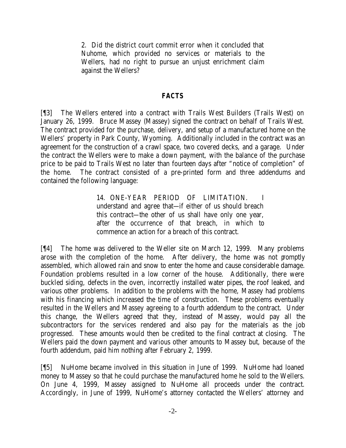2. Did the district court commit error when it concluded that Nuhome, which provided no services or materials to the Wellers, had no right to pursue an unjust enrichment claim against the Wellers?

# *FACTS*

[¶3] The Wellers entered into a contract with Trails West Builders (Trails West) on January 26, 1999. Bruce Massey (Massey) signed the contract on behalf of Trails West. The contract provided for the purchase, delivery, and setup of a manufactured home on the Wellers' property in Park County, Wyoming. Additionally included in the contract was an agreement for the construction of a crawl space, two covered decks, and a garage. Under the contract the Wellers were to make a down payment, with the balance of the purchase price to be paid to Trails West no later than fourteen days after "notice of completion" of the home. The contract consisted of a pre-printed form and three addendums and contained the following language:

> 14. ONE-YEAR PERIOD OF LIMITATION. I understand and agree that—if either of us should breach this contract—the other of us shall have only one year, after the occurrence of that breach, in which to commence an action for a breach of this contract.

[¶4] The home was delivered to the Weller site on March 12, 1999. Many problems arose with the completion of the home. After delivery, the home was not promptly assembled, which allowed rain and snow to enter the home and cause considerable damage. Foundation problems resulted in a low corner of the house. Additionally, there were buckled siding, defects in the oven, incorrectly installed water pipes, the roof leaked, and various other problems. In addition to the problems with the home, Massey had problems with his financing which increased the time of construction. These problems eventually resulted in the Wellers and Massey agreeing to a fourth addendum to the contract. Under this change, the Wellers agreed that they, instead of Massey, would pay all the subcontractors for the services rendered and also pay for the materials as the job progressed. These amounts would then be credited to the final contract at closing. The Wellers paid the down payment and various other amounts to Massey but, because of the fourth addendum, paid him nothing after February 2, 1999.

[¶5] NuHome became involved in this situation in June of 1999. NuHome had loaned money to Massey so that he could purchase the manufactured home he sold to the Wellers. On June 4, 1999, Massey assigned to NuHome all proceeds under the contract. Accordingly, in June of 1999, NuHome's attorney contacted the Wellers' attorney and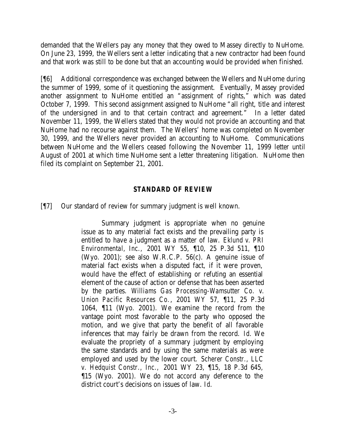demanded that the Wellers pay any money that they owed to Massey directly to NuHome. On June 23, 1999, the Wellers sent a letter indicating that a new contractor had been found and that work was still to be done but that an accounting would be provided when finished.

[¶6] Additional correspondence was exchanged between the Wellers and NuHome during the summer of 1999, some of it questioning the assignment. Eventually, Massey provided another assignment to NuHome entitled an "assignment of rights," which was dated October 7, 1999. This second assignment assigned to NuHome "all right, title and interest of the undersigned in and to that certain contract and agreement." In a letter dated November 11, 1999, the Wellers stated that they would not provide an accounting and that NuHome had no recourse against them. The Wellers' home was completed on November 30, 1999, and the Wellers never provided an accounting to NuHome. Communications between NuHome and the Wellers ceased following the November 11, 1999 letter until August of 2001 at which time NuHome sent a letter threatening litigation. NuHome then filed its complaint on September 21, 2001.

# *STANDARD OF REVIEW*

[¶7] Our standard of review for summary judgment is well known.

Summary judgment is appropriate when no genuine issue as to any material fact exists and the prevailing party is entitled to have a judgment as a matter of law. *Eklund v. PRI Environmental, Inc.,* 2001 WY 55, ¶10, 25 P.3d 511, ¶10 (Wyo. 2001); see also W.R.C.P. 56(c). A genuine issue of material fact exists when a disputed fact, if it were proven, would have the effect of establishing or refuting an essential element of the cause of action or defense that has been asserted by the parties. *Williams Gas Processing-Wamsutter Co. v. Union Pacific Resources Co.*, 2001 WY 57, ¶11, 25 P.3d 1064, ¶11 (Wyo. 2001). We examine the record from the vantage point most favorable to the party who opposed the motion, and we give that party the benefit of all favorable inferences that may fairly be drawn from the record. *Id*. We evaluate the propriety of a summary judgment by employing the same standards and by using the same materials as were employed and used by the lower court. *Scherer Constr., LLC v. Hedquist Constr., Inc.,* 2001 WY 23, ¶15, 18 P.3d 645, ¶15 (Wyo. 2001). We do not accord any deference to the district court's decisions on issues of law. *Id*.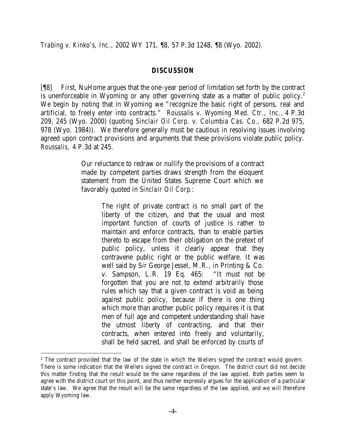#### *DISCUSSION*

[¶8] First, NuHome argues that the one-year period of limitation set forth by the contract is unenforceable in Wyoming or any other governing state as a matter of public policy.<sup>2</sup> We begin by noting that in Wyoming we "recognize the basic right of persons, real and artificial, to freely enter into contracts." *Roussalis v. Wyoming Med. Ctr., Inc.,* 4 P.3d 209, 245 (Wyo. 2000) (quoting *Sinclair Oil Corp. v. Columbia Cas. Co.,* 682 P.2d 975, 978 (Wyo. 1984)). We therefore generally must be cautious in resolving issues involving agreed upon contract provisions and arguments that these provisions violate public policy. *Roussalis,* 4 P.3d at 245.

> Our reluctance to redraw or nullify the provisions of a contract made by competent parties draws strength from the eloquent statement from the United States Supreme Court which we favorably quoted in *Sinclair Oil Corp*.:

> > The right of private contract is no small part of the liberty of the citizen, and that the usual and most important function of courts of justice is rather to maintain and enforce contracts, than to enable parties thereto to escape from their obligation on the pretext of public policy, unless it clearly appear that they contravene public right or the public welfare. It was well said by Sir George Jessel, M.R., in Printing & Co. v. Sampson, L.R. 19 Eq. 465: "It must not be forgotten that you are not to extend arbitrarily those rules which say that a given contract is void as being against public policy, because if there is one thing which more than another public policy requires it is that men of full age and competent understanding shall have the utmost liberty of contracting, and that their contracts, when entered into freely and voluntarily, shall be held sacred, and shall be enforced by courts of

l

<sup>&</sup>lt;sup>2</sup> The contract provided that the law of the state in which the Wellers signed the contract would govern. There is some indication that the Wellers signed the contract in Oregon. The district court did not decide this matter finding that the result would be the same regardless of the law applied. Both parties seem to agree with the district court on this point, and thus neither expressly argues for the application of a particular state's law. We agree that the result will be the same regardless of the law applied, and we will therefore apply Wyoming law.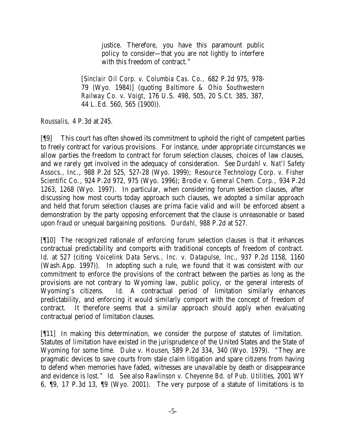justice. Therefore, you have this paramount public policy to consider—that you are not lightly to interfere with this freedom of contract."

[*Sinclair Oil Corp. v. Columbia Cas. Co.,* 682 P.2d 975, 978- 79 (Wyo. 1984)] (quoting *Baltimore & Ohio Southwestern Railway Co. v. Voigt*, 176 U.S. 498, 505, 20 S.Ct. 385, 387, 44 L.Ed. 560, 565 (1900)).

*Roussalis,* 4 P.3d at 245.

[¶9] This court has often showed its commitment to uphold the right of competent parties to freely contract for various provisions. For instance, under appropriate circumstances we allow parties the freedom to contract for forum selection clauses, choices of law clauses, and we rarely get involved in the adequacy of consideration. See *Durdahl v. Nat'l Safety Assocs., Inc*., 988 P.2d 525, 527-28 (Wyo. 1999); *Resource Technology Corp. v. Fisher Scientific Co.*, 924 P.2d 972, 975 (Wyo. 1996); *Brodie v. General Chem. Corp.,* 934 P.2d 1263, 1268 (Wyo. 1997). In particular, when considering forum selection clauses, after discussing how most courts today approach such clauses, we adopted a similar approach and held that forum selection clauses are prima facie valid and will be enforced absent a demonstration by the party opposing enforcement that the clause is unreasonable or based upon fraud or unequal bargaining positions. *Durdahl,* 988 P.2d at 527.

[¶10] The recognized rationale of enforcing forum selection clauses is that it enhances contractual predictability and comports with traditional concepts of freedom of contract. *Id*. at 527 (citing *Voicelink Data Servs., Inc. v. Datapulse, Inc.*, 937 P.2d 1158, 1160 (Wash.App. 1997)). In adopting such a rule, we found that it was consistent with our commitment to enforce the provisions of the contract between the parties as long as the provisions are not contrary to Wyoming law, public policy, or the general interests of Wyoming's citizens. *Id.* A contractual period of limitation similarly enhances predictability, and enforcing it would similarly comport with the concept of freedom of contract. It therefore seems that a similar approach should apply when evaluating contractual period of limitation clauses.

[¶11] In making this determination, we consider the purpose of statutes of limitation. Statutes of limitation have existed in the jurisprudence of the United States and the State of Wyoming for some time. *Duke v. Housen*, 589 P.2d 334, 340 (Wyo. 1979). "They are pragmatic devices to save courts from stale claim litigation and spare citizens from having to defend when memories have faded, witnesses are unavailable by death or disappearance and evidence is lost." *Id.* See also *Rawlinson v. Cheyenne Bd. of Pub. Utilities*, 2001 WY 6, ¶9, 17 P.3d 13, ¶9 (Wyo. 2001). The very purpose of a statute of limitations is to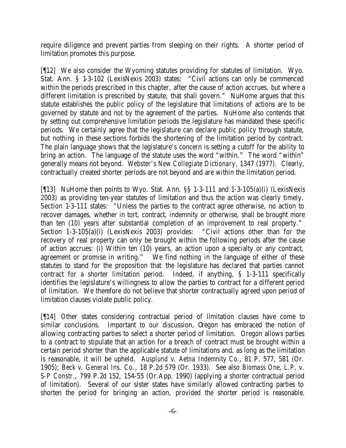require diligence and prevent parties from sleeping on their rights. A shorter period of limitation promotes this purpose.

[¶12] We also consider the Wyoming statutes providing for statutes of limitation. Wyo. Stat. Ann. § 1-3-102 (LexisNexis 2003) states: "Civil actions can only be commenced within the periods prescribed in this chapter, after the cause of action accrues, but where a different limitation is prescribed by statute, that shall govern." NuHome argues that this statute establishes the public policy of the legislature that limitations of actions are to be governed by statute and not by the agreement of the parties. NuHome also contends that by setting out comprehensive limitation periods the legislature has mandated these specific periods. We certainly agree that the legislature can declare public policy through statute, but nothing in these sections forbids the shortening of the limitation period by contract. The plain language shows that the legislature's concern is setting a cutoff for the ability to bring an action. The language of the statute uses the word "within." The word "within" generally means not beyond. *Webster's New Collegiate Dictionary*, 1347 (1977). Clearly, contractually created shorter periods are not beyond and are within the limitation period.

[¶13] NuHome then points to Wyo. Stat. Ann. §§ 1-3-111 and 1-3-105(a)(i) (LexisNexis 2003) as providing ten-year statutes of limitation and thus the action was clearly timely. Section 1-3-111 states: "Unless the parties to the contract agree otherwise, no action to recover damages, whether in tort, contract, indemnity or otherwise, shall be brought more than ten (10) years after substantial completion of an improvement to real property." Section 1-3-105(a)(i) (LexisNexis 2003) provides: "Civil actions other than for the recovery of real property can only be brought within the following periods after the cause of action accrues: (i) Within ten (10) years, an action upon a specialty or any contract, agreement or promise in writing." We find nothing in the language of either of these statutes to stand for the proposition that the legislature has declared that parties cannot contract for a shorter limitation period. Indeed, if anything, § 1-3-111 specifically identifies the legislature's willingness to allow the parties to contract for a different period of limitation. We therefore do not believe that shorter contractually agreed upon period of limitation clauses violate public policy.

[¶14] Other states considering contractual period of limitation clauses have come to similar conclusions. Important to our discussion, Oregon has embraced the notion of allowing contracting parties to select a shorter period of limitation. Oregon allows parties to a contract to stipulate that an action for a breach of contract must be brought within a certain period shorter than the applicable statute of limitations and, as long as the limitation is reasonable, it will be upheld. *Ausplund v. Aetna Indemnity Co*., 81 P. 577, 581 (Or. 1905); *Beck v. General Ins. Co.*, 18 P.2d 579 (Or. 1933). See also *Biomass One, L.P. v. S-P Constr.*, 799 P.2d 152, 154-55 (Or.App. 1990) (applying a shorter contractual period of limitation). Several of our sister states have similarly allowed contracting parties to shorten the period for bringing an action, provided the shorter period is reasonable.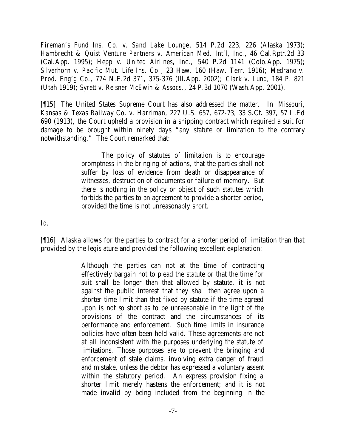*Fireman's Fund Ins. Co. v. Sand Lake Lounge*, 514 P.2d 223, 226 (Alaska 1973); *Hambrecht & Quist Venture Partners v. American Med. Int'l, Inc.,* 46 Cal.Rptr.2d 33 (Cal.App. 1995); *Hepp v. United Airlines, Inc.,* 540 P.2d 1141 (Colo.App. 1975); *Silverhorn v. Pacific Mut. Life Ins. Co.*, 23 Haw. 160 (Haw. Terr. 1916); *Medrano v. Prod. Eng'g Co*., 774 N.E.2d 371, 375-376 (Ill.App. 2002); *Clark v. Lund*, 184 P. 821 (Utah 1919); *Syrett v. Reisner McEwin & Assocs.*, 24 P.3d 1070 (Wash.App. 2001).

[¶15] The United States Supreme Court has also addressed the matter. In *Missouri, Kansas & Texas Railway Co. v. Harriman*, 227 U.S. 657, 672-73, 33 S.Ct. 397, 57 L.Ed 690 (1913), the Court upheld a provision in a shipping contract which required a suit for damage to be brought within ninety days "any statute or limitation to the contrary notwithstanding." The Court remarked that:

> The policy of statutes of limitation is to encourage promptness in the bringing of actions, that the parties shall not suffer by loss of evidence from death or disappearance of witnesses, destruction of documents or failure of memory. But there is nothing in the policy or object of such statutes which forbids the parties to an agreement to provide a shorter period, provided the time is not unreasonably short.

*Id*.

[¶16] Alaska allows for the parties to contract for a shorter period of limitation than that provided by the legislature and provided the following excellent explanation:

> Although the parties can not at the time of contracting effectively bargain not to plead the statute or that the time for suit shall be longer than that allowed by statute, it is not against the public interest that they shall then agree upon a shorter time limit than that fixed by statute if the time agreed upon is not so short as to be unreasonable in the light of the provisions of the contract and the circumstances of its performance and enforcement. Such time limits in insurance policies have often been held valid. These agreements are not at all inconsistent with the purposes underlying the statute of limitations. Those purposes are to prevent the bringing and enforcement of stale claims, involving extra danger of fraud and mistake, unless the debtor has expressed a voluntary assent within the statutory period. An express provision fixing a shorter limit merely hastens the enforcement; and it is not made invalid by being included from the beginning in the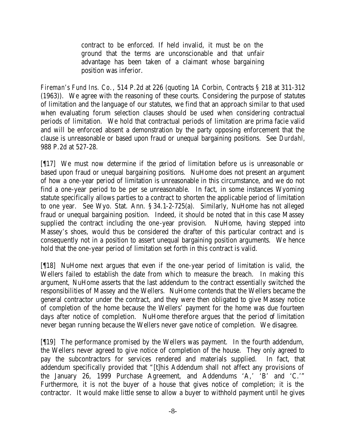contract to be enforced. If held invalid, it must be on the ground that the terms are unconscionable and that unfair advantage has been taken of a claimant whose bargaining position was inferior.

*Fireman's Fund Ins. Co.*, 514 P.2d at 226 (quoting 1A Corbin, Contracts § 218 at 311-312 (1963)). We agree with the reasoning of these courts. Considering the purpose of statutes of limitation and the language of our statutes, we find that an approach similar to that used when evaluating forum selection clauses should be used when considering contractual periods of limitation. We hold that contractual periods of limitation are prima facie valid and will be enforced absent a demonstration by the party opposing enforcement that the clause is unreasonable or based upon fraud or unequal bargaining positions. See *Durdahl,* 988 P.2d at 527-28.

[¶17] We must now determine if the period of limitation before us is unreasonable or based upon fraud or unequal bargaining positions. NuHome does not present an argument of how a one-year period of limitation is unreasonable in this circumstance, and we do not find a one-year period to be per se unreasonable. In fact, in some instances Wyoming statute specifically allows parties to a contract to shorten the applicable period of limitation to one year. See Wyo. Stat. Ann. § 34.1-2-725(a). Similarly, NuHome has not alleged fraud or unequal bargaining position. Indeed, it should be noted that in this case Massey supplied the contract including the one-year provision. NuHome, having stepped into Massey's shoes, would thus be considered the drafter of this particular contract and is consequently not in a position to assert unequal bargaining position arguments. We hence hold that the one-year period of limitation set forth in this contract is valid.

[¶18] NuHome next argues that even if the one-year period of limitation is valid, the Wellers failed to establish the date from which to measure the breach. In making this argument, NuHome asserts that the last addendum to the contract essentially switched the responsibilities of Massey and the Wellers. NuHome contends that the Wellers became the general contractor under the contract, and they were then obligated to give Massey notice of completion of the home because the Wellers' payment for the home was due fourteen days after notice of completion. NuHome therefore argues that the period of limitation never began running because the Wellers never gave notice of completion. We disagree.

[¶19] The performance promised by the Wellers was payment. In the fourth addendum, the Wellers never agreed to give notice of completion of the house. They only agreed to pay the subcontractors for services rendered and materials supplied. In fact, that addendum specifically provided that "[t]his Addendum shall not affect any provisions of the January 26, 1999 Purchase Agreement, and Addendums 'A,' 'B' and 'C.'" Furthermore, it is not the buyer of a house that gives notice of completion; it is the contractor. It would make little sense to allow a buyer to withhold payment until he gives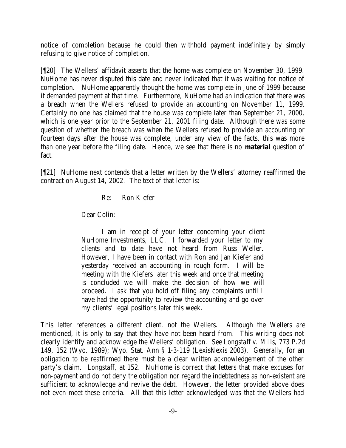notice of completion because he could then withhold payment indefinitely by simply refusing to give notice of completion.

[¶20] The Wellers' affidavit asserts that the home was complete on November 30, 1999. NuHome has never disputed this date and never indicated that it was waiting for notice of completion. NuHome apparently thought the home was complete in June of 1999 because it demanded payment at that time. Furthermore, NuHome had an indication that there was a breach when the Wellers refused to provide an accounting on November 11, 1999. Certainly no one has claimed that the house was complete later than September 21, 2000, which is one year prior to the September 21, 2001 filing date. Although there was some question of whether the breach was when the Wellers refused to provide an accounting or fourteen days after the house was complete, under any view of the facts, this was more than one year before the filing date. Hence, we see that there is no **material** question of fact.

[¶21] NuHome next contends that a letter written by the Wellers' attorney reaffirmed the contract on August 14, 2002. The text of that letter is:

Re: Ron Kiefer

Dear Colin:

I am in receipt of your letter concerning your client NuHome Investments, LLC. I forwarded your letter to my clients and to date have not heard from Russ Weller. However, I have been in contact with Ron and Jan Kiefer and yesterday received an accounting in rough form. I will be meeting with the Kiefers later this week and once that meeting is concluded we will make the decision of how we will proceed. I ask that you hold off filing any complaints until I have had the opportunity to review the accounting and go over my clients' legal positions later this week.

This letter references a different client, not the Wellers. Although the Wellers are mentioned, it is only to say that they have not been heard from. This writing does not clearly identify and acknowledge the Wellers' obligation. See *Longstaff v. Mills*, 773 P.2d 149, 152 (Wyo. 1989); Wyo. Stat. Ann § 1-3-119 (LexisNexis 2003). Generally, for an obligation to be reaffirmed there must be a clear written acknowledgement of the other party's claim. *Longstaff*, at 152. NuHome is correct that letters that make excuses for non-payment and do not deny the obligation nor regard the indebtedness as non-existent are sufficient to acknowledge and revive the debt. However, the letter provided above does not even meet these criteria. All that this letter acknowledged was that the Wellers had